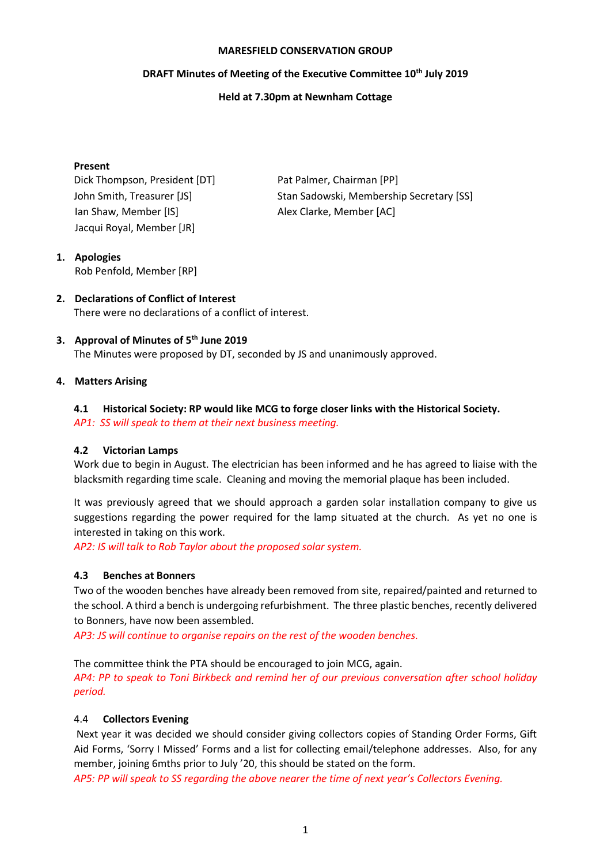#### **MARESFIELD CONSERVATION GROUP**

# **DRAFT Minutes of Meeting of the Executive Committee 10 th July 2019**

## **Held at 7.30pm at Newnham Cottage**

#### **Present**

Dick Thompson, President [DT] Pat Palmer, Chairman [PP] Ian Shaw, Member [IS] Alex Clarke, Member [AC] Jacqui Royal, Member [JR]

John Smith, Treasurer [JS] Stan Sadowski, Membership Secretary [SS]

## **1. Apologies** Rob Penfold, Member [RP]

**2. Declarations of Conflict of Interest** There were no declarations of a conflict of interest.

# **3. Approval of Minutes of 5 th June 2019**

The Minutes were proposed by DT, seconded by JS and unanimously approved.

# **4. Matters Arising**

# **4.1 Historical Society: RP would like MCG to forge closer links with the Historical Society.**

*AP1: SS will speak to them at their next business meeting.*

## **4.2 Victorian Lamps**

Work due to begin in August. The electrician has been informed and he has agreed to liaise with the blacksmith regarding time scale. Cleaning and moving the memorial plaque has been included.

It was previously agreed that we should approach a garden solar installation company to give us suggestions regarding the power required for the lamp situated at the church. As yet no one is interested in taking on this work.

*AP2: IS will talk to Rob Taylor about the proposed solar system.*

# **4.3 Benches at Bonners**

Two of the wooden benches have already been removed from site, repaired/painted and returned to the school. A third a bench is undergoing refurbishment. The three plastic benches, recently delivered to Bonners, have now been assembled.

*AP3: JS will continue to organise repairs on the rest of the wooden benches.*

The committee think the PTA should be encouraged to join MCG, again.

*AP4: PP to speak to Toni Birkbeck and remind her of our previous conversation after school holiday period.*

## 4.4 **Collectors Evening**

Next year it was decided we should consider giving collectors copies of Standing Order Forms, Gift Aid Forms, 'Sorry I Missed' Forms and a list for collecting email/telephone addresses. Also, for any member, joining 6mths prior to July '20, this should be stated on the form.

*AP5: PP will speak to SS regarding the above nearer the time of next year's Collectors Evening.*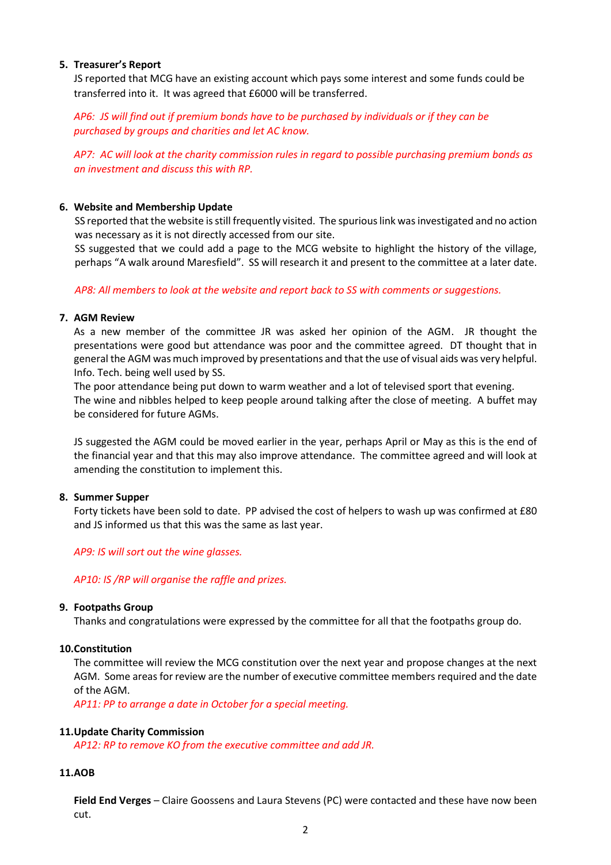## **5. Treasurer's Report**

JS reported that MCG have an existing account which pays some interest and some funds could be transferred into it. It was agreed that £6000 will be transferred.

*AP6: JS will find out if premium bonds have to be purchased by individuals or if they can be purchased by groups and charities and let AC know.*

*AP7: AC will look at the charity commission rules in regard to possible purchasing premium bonds as an investment and discuss this with RP.*

#### **6. Website and Membership Update**

SS reported that the website is still frequently visited. The spurious link was investigated and no action was necessary as it is not directly accessed from our site.

SS suggested that we could add a page to the MCG website to highlight the history of the village, perhaps "A walk around Maresfield". SS will research it and present to the committee at a later date.

*AP8: All members to look at the website and report back to SS with comments or suggestions.*

#### **7. AGM Review**

As a new member of the committee JR was asked her opinion of the AGM. JR thought the presentations were good but attendance was poor and the committee agreed. DT thought that in general the AGM was much improved by presentations and that the use of visual aids was very helpful. Info. Tech. being well used by SS.

The poor attendance being put down to warm weather and a lot of televised sport that evening. The wine and nibbles helped to keep people around talking after the close of meeting. A buffet may be considered for future AGMs.

JS suggested the AGM could be moved earlier in the year, perhaps April or May as this is the end of the financial year and that this may also improve attendance. The committee agreed and will look at amending the constitution to implement this.

## **8. Summer Supper**

Forty tickets have been sold to date. PP advised the cost of helpers to wash up was confirmed at £80 and JS informed us that this was the same as last year.

*AP9: IS will sort out the wine glasses.*

#### *AP10: IS /RP will organise the raffle and prizes.*

#### **9. Footpaths Group**

Thanks and congratulations were expressed by the committee for all that the footpaths group do.

## **10.Constitution**

The committee will review the MCG constitution over the next year and propose changes at the next AGM. Some areas for review are the number of executive committee members required and the date of the AGM.

*AP11: PP to arrange a date in October for a special meeting.*

#### **11.Update Charity Commission**

*AP12: RP to remove KO from the executive committee and add JR.*

## **11.AOB**

**Field End Verges** – Claire Goossens and Laura Stevens (PC) were contacted and these have now been cut.